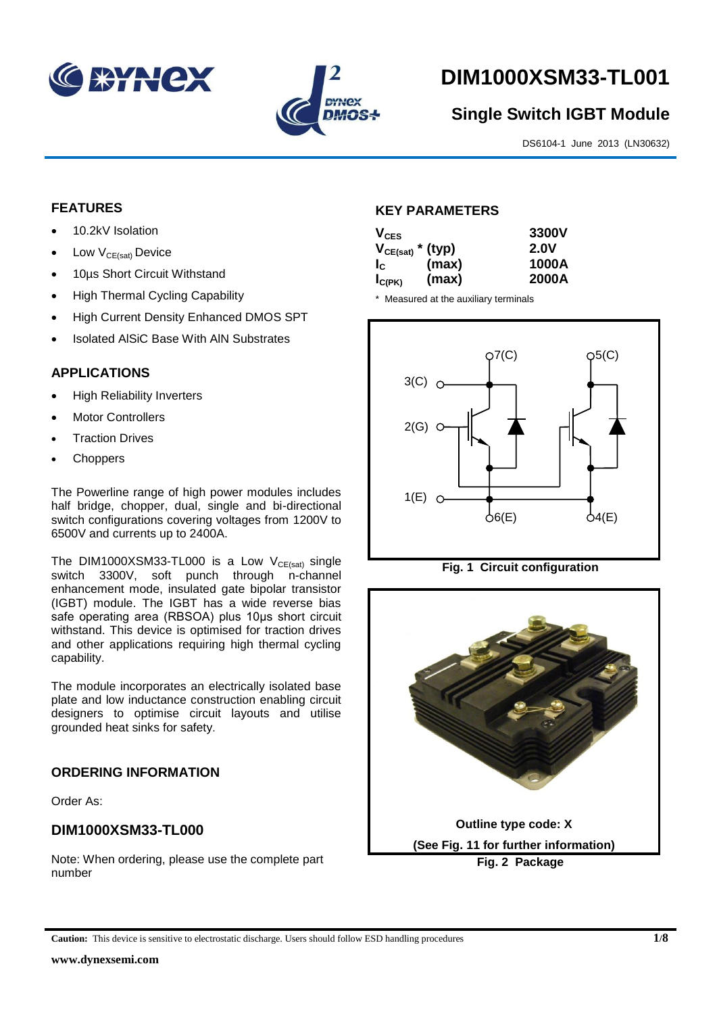



# **DIM1000XSM33-TL001**

# **Single Switch IGBT Module**

DS6104-1 June 2013 (LN30632)

#### **FEATURES**

- 10.2kV Isolation
- $\bullet$  Low  $V_{CE(sat)}$  Device
- 10µs Short Circuit Withstand
- High Thermal Cycling Capability
- High Current Density Enhanced DMOS SPT
- Isolated AlSiC Base With AlN Substrates

# **APPLICATIONS**

- High Reliability Inverters
- Motor Controllers
- Traction Drives
- Choppers

The Powerline range of high power modules includes half bridge, chopper, dual, single and bi-directional switch configurations covering voltages from 1200V to 6500V and currents up to 2400A.

The DIM1000XSM33-TL000 is a Low  $V_{CE(sat)}$  single switch 3300V, soft punch through n-channel enhancement mode, insulated gate bipolar transistor (IGBT) module. The IGBT has a wide reverse bias safe operating area (RBSOA) plus 10μs short circuit withstand. This device is optimised for traction drives and other applications requiring high thermal cycling capability.

The module incorporates an electrically isolated base plate and low inductance construction enabling circuit designers to optimise circuit layouts and utilise grounded heat sinks for safety.

# **ORDERING INFORMATION**

Order As:

# **DIM1000XSM33-TL000**

Note: When ordering, please use the complete part number

#### **KEY PARAMETERS**

| $V_{CES}$             |       | 3300V       |
|-----------------------|-------|-------------|
| $V_{CE(sat)}$ * (typ) |       | <b>2.0V</b> |
| $I_{\rm C}$           | (max) | 1000A       |
| $I_{C(PK)}$           | (max) | 2000A       |

\* Measured at the auxiliary terminals







**Caution:** This device is sensitive to electrostatic discharge. Users should follow ESD handling procedures **1/8**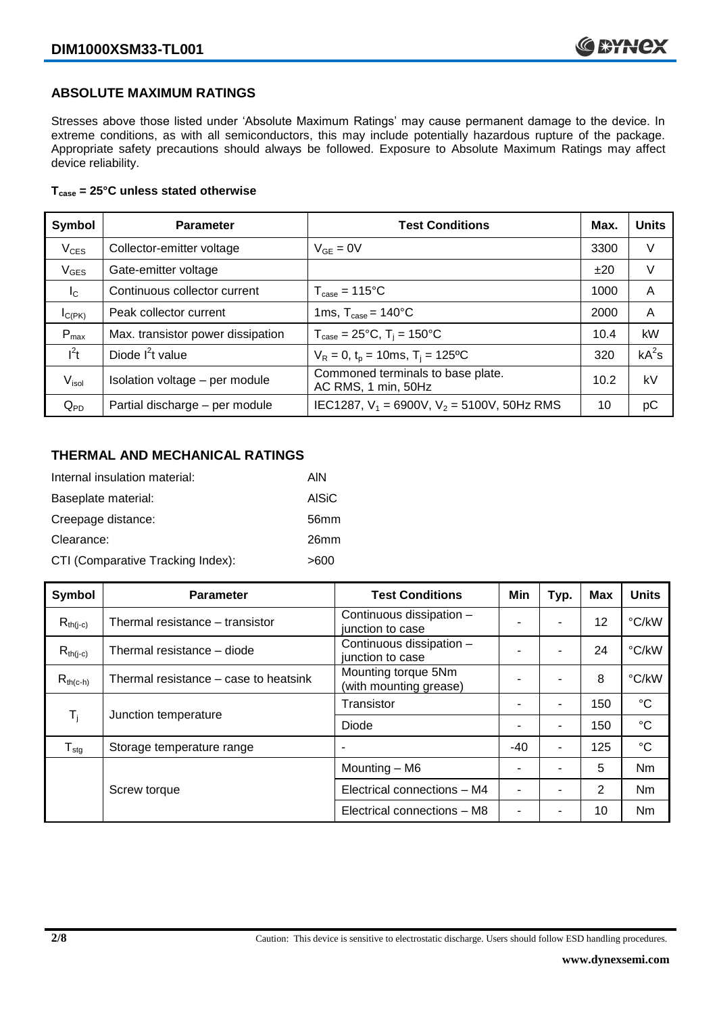#### **ABSOLUTE MAXIMUM RATINGS**

Stresses above those listed under 'Absolute Maximum Ratings' may cause permanent damage to the device. In extreme conditions, as with all semiconductors, this may include potentially hazardous rupture of the package. Appropriate safety precautions should always be followed. Exposure to Absolute Maximum Ratings may affect device reliability.

#### **Tcase = 25°C unless stated otherwise**

| Symbol            | <b>Parameter</b>                  | <b>Test Conditions</b>                                   | Max. | <b>Units</b> |
|-------------------|-----------------------------------|----------------------------------------------------------|------|--------------|
| $V_{CES}$         | Collector-emitter voltage         | $V_{GE} = 0V$                                            | 3300 | V            |
| $V_{GES}$         | Gate-emitter voltage              |                                                          | ±20  | V            |
| $I_{\rm C}$       | Continuous collector current      | $T_{\text{case}} = 115^{\circ}C$                         | 1000 | A            |
| $I_{C(PK)}$       | Peak collector current            | 1ms, $T_{\text{case}} = 140^{\circ}$ C                   | 2000 | A            |
| $P_{max}$         | Max. transistor power dissipation | $T_{\text{case}} = 25^{\circ}C$ , $T_i = 150^{\circ}C$   | 10.4 | kW           |
| $I^2t$            | Diode $I2t$ value                 | $V_R = 0$ , $t_p = 10$ ms, $T_i = 125$ °C                | 320  | $kA^2s$      |
| V <sub>isol</sub> | Isolation voltage - per module    | Commoned terminals to base plate.<br>AC RMS, 1 min, 50Hz | 10.2 | kV           |
| $Q_{PD}$          | Partial discharge - per module    | IEC1287, $V_1 = 6900V$ , $V_2 = 5100V$ , 50Hz RMS        | 10   | рC           |

#### **THERMAL AND MECHANICAL RATINGS**

| Internal insulation material:     | AIN              |
|-----------------------------------|------------------|
| Baseplate material:               | <b>AISiC</b>     |
| Creepage distance:                | 56 <sub>mm</sub> |
| Clearance:                        | 26mm             |
| CTI (Comparative Tracking Index): | >600             |

| Symbol           | <b>Parameter</b>                      | <b>Test Conditions</b>                        | Min   | Typ. | <b>Max</b> | <b>Units</b>    |
|------------------|---------------------------------------|-----------------------------------------------|-------|------|------------|-----------------|
| $R_{th(j-c)}$    | Thermal resistance - transistor       | Continuous dissipation -<br>junction to case  |       | ۰    | 12         | °C/kW           |
| $R_{th(i-c)}$    | Thermal resistance - diode            | Continuous dissipation -<br>junction to case  |       | ۰    | 24         | °C/kW           |
| $R_{th(c-h)}$    | Thermal resistance – case to heatsink | Mounting torque 5Nm<br>(with mounting grease) |       |      | 8          | °C/kW           |
|                  |                                       | Transistor                                    |       | ۰    | 150        | $^{\circ}C$     |
| $T_i$            | Junction temperature                  | Diode                                         |       | ۰    | 150        | $\rm ^{\circ}C$ |
| $T_{\text{stg}}$ | Storage temperature range             |                                               | $-40$ | ۰    | 125        | $\rm ^{\circ}C$ |
|                  |                                       | Mounting - M6                                 |       |      | 5          | Nm              |
|                  | Screw torque                          | Electrical connections - M4                   |       | ۰    | 2          | Nm              |
|                  |                                       | Electrical connections - M8                   |       |      | 10         | Nm              |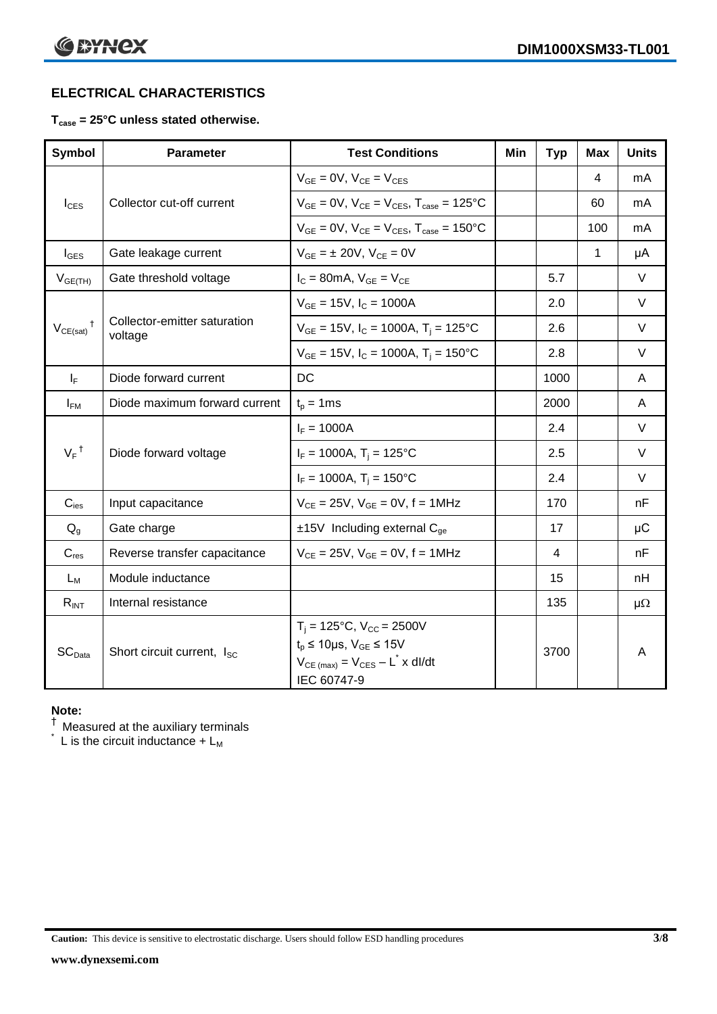# **ELECTRICAL CHARACTERISTICS**

#### **Tcase = 25°C unless stated otherwise.**

| <b>Symbol</b>      | <b>Parameter</b>                        | <b>Test Conditions</b>                                                                                                                          | Min | <b>Typ</b> | <b>Max</b> | <b>Units</b> |
|--------------------|-----------------------------------------|-------------------------------------------------------------------------------------------------------------------------------------------------|-----|------------|------------|--------------|
|                    |                                         | $V_{GE} = 0V$ , $V_{CE} = V_{CES}$                                                                                                              |     |            | 4          | mA           |
| $I_{\text{CES}}$   | Collector cut-off current               | $V_{GE} = 0V$ , $V_{CE} = V_{CES}$ , $T_{case} = 125$ °C                                                                                        |     |            | 60         | mA           |
|                    |                                         | $V_{GE}$ = 0V, $V_{CE}$ = $V_{CES}$ , $T_{case}$ = 150°C                                                                                        |     |            | 100        | mA           |
| $I_{\text{GES}}$   | Gate leakage current                    | $V_{GE} = \pm 20V$ , $V_{CE} = 0V$                                                                                                              |     |            | 1          | μA           |
| $V_{GE(TH)}$       | Gate threshold voltage                  | $I_C = 80$ mA, $V_{GE} = V_{CE}$                                                                                                                |     | 5.7        |            | $\vee$       |
|                    |                                         | $V_{GE}$ = 15V, $I_C$ = 1000A                                                                                                                   |     | 2.0        |            | $\vee$       |
| $V_{CE(sat)}$      | Collector-emitter saturation<br>voltage | $V_{GE}$ = 15V, I <sub>C</sub> = 1000A, T <sub>i</sub> = 125°C                                                                                  |     | 2.6        |            | $\vee$       |
|                    |                                         | $V_{GE}$ = 15V, $I_C$ = 1000A, $T_i$ = 150°C                                                                                                    |     | 2.8        |            | $\vee$       |
| $I_F$              | Diode forward current                   | DC                                                                                                                                              |     | 1000       |            | A            |
| $I_{FM}$           | Diode maximum forward current           | $t_p = 1$ ms                                                                                                                                    |     | 2000       |            | A            |
|                    |                                         | $I_F = 1000A$                                                                                                                                   |     | 2.4        |            | $\vee$       |
| $V_F$ <sup>†</sup> | Diode forward voltage                   | $I_F = 1000A$ , $T_i = 125^{\circ}C$                                                                                                            |     | 2.5        |            | $\vee$       |
|                    |                                         | $I_F = 1000A$ , $T_i = 150^{\circ}C$                                                                                                            |     | 2.4        |            | $\vee$       |
| $C_{\text{ies}}$   | Input capacitance                       | $V_{CE} = 25V$ , $V_{GE} = 0V$ , $f = 1MHz$                                                                                                     |     | 170        |            | nF           |
| $Q_{q}$            | Gate charge                             | $±15V$ Including external C <sub>ge</sub>                                                                                                       |     | 17         |            | $\mu$ C      |
| $C_{res}$          | Reverse transfer capacitance            | $V_{CE} = 25V$ , $V_{GE} = 0V$ , $f = 1MHz$                                                                                                     |     | 4          |            | nF           |
| $L_M$              | Module inductance                       |                                                                                                                                                 |     | 15         |            | nH           |
| $R_{INT}$          | Internal resistance                     |                                                                                                                                                 |     | 135        |            | $\mu\Omega$  |
| SC <sub>Data</sub> | Short circuit current, I <sub>SC</sub>  | $T_i = 125$ °C, $V_{CC} = 2500V$<br>$t_p \le 10 \mu s$ , $V_{GE} \le 15V$<br>$V_{CE \text{ (max)}} = V_{CES} - L^* \times dl/dt$<br>IEC 60747-9 |     | 3700       |            | A            |

#### **Note:**

 $^\dagger$  Measured at the auxiliary terminals

 $\check{}$  L is the circuit inductance + L<sub>M</sub>

**Caution:** This device is sensitive to electrostatic discharge. Users should follow ESD handling procedures **3/8**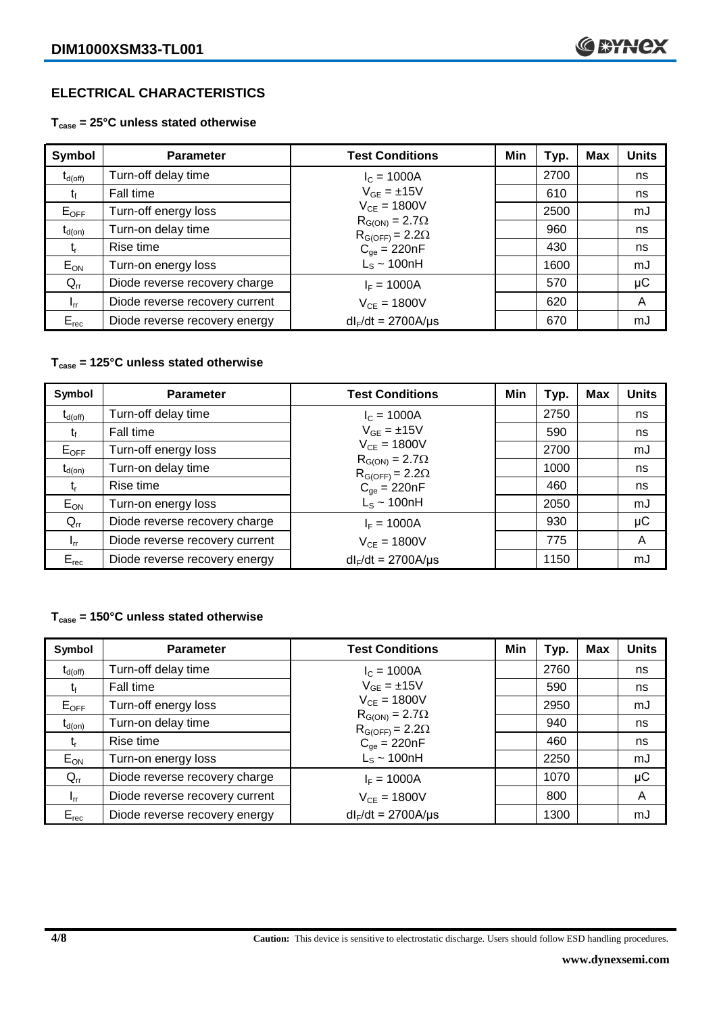# **ELECTRICAL CHARACTERISTICS**

#### **Tcase = 25°C unless stated otherwise**

| Symbol              | <b>Parameter</b>               | <b>Test Conditions</b>                              | Min | Typ. | Max | <b>Units</b> |
|---------------------|--------------------------------|-----------------------------------------------------|-----|------|-----|--------------|
| $t_{d(\text{off})}$ | Turn-off delay time            | $I_c = 1000A$                                       |     | 2700 |     | ns           |
| Ţ,                  | Fall time                      | $V_{GE} = \pm 15V$                                  |     | 610  |     | ns           |
| $E_{OFF}$           | Turn-off energy loss           | $V_{CE} = 1800V$                                    |     | 2500 |     | mJ           |
| $t_{d(on)}$         | Turn-on delay time             | $R_{G(ON)} = 2.7\Omega$<br>$R_{G(OFF)} = 2.2\Omega$ |     | 960  |     | ns           |
| t,                  | Rise time                      | $C_{qe} = 220nF$                                    |     | 430  |     | ns           |
| $E_{ON}$            | Turn-on energy loss            | $L_s \sim 100$ nH                                   |     | 1600 |     | mJ           |
| $Q_{rr}$            | Diode reverse recovery charge  | $I_F = 1000A$                                       |     | 570  |     | $\mu$ C      |
| $I_{rr}$            | Diode reverse recovery current | $V_{CE} = 1800V$                                    |     | 620  |     | A            |
| $E_{rec}$           | Diode reverse recovery energy  | $dl_F/dt = 2700A/\mu s$                             |     | 670  |     | mJ           |

#### **Tcase = 125°C unless stated otherwise**

| Symbol       | <b>Parameter</b>               | <b>Test Conditions</b>                              | Min | Typ. | <b>Max</b> | <b>Units</b> |
|--------------|--------------------------------|-----------------------------------------------------|-----|------|------------|--------------|
| $t_{d(off)}$ | Turn-off delay time            | $I_c = 1000A$                                       |     | 2750 |            | ns           |
| t            | Fall time                      | $V_{GE} = \pm 15V$                                  |     | 590  |            | ns           |
| $E_{OFF}$    | Turn-off energy loss           | $V_{CE} = 1800V$                                    |     | 2700 |            | mJ           |
| $t_{d(on)}$  | Turn-on delay time             | $R_{G(ON)} = 2.7\Omega$<br>$R_{G(OFF)} = 2.2\Omega$ |     | 1000 |            | ns           |
| t,           | Rise time                      | $C_{qe} = 220nF$                                    |     | 460  |            | ns           |
| $E_{ON}$     | Turn-on energy loss            | $L_s \sim 100$ nH                                   |     | 2050 |            | mJ           |
| $Q_{rr}$     | Diode reverse recovery charge  | $I_F = 1000A$                                       |     | 930  |            | μC           |
| $I_{rr}$     | Diode reverse recovery current | $V_{CF} = 1800V$                                    |     | 775  |            | A            |
| $E_{rec}$    | Diode reverse recovery energy  | $dl_F/dt = 2700A/\mu s$                             |     | 1150 |            | mJ           |

#### **Tcase = 150°C unless stated otherwise**

| Symbol              | <b>Parameter</b>               | <b>Test Conditions</b>                              | Min | Typ. | Max | <b>Units</b> |
|---------------------|--------------------------------|-----------------------------------------------------|-----|------|-----|--------------|
| $t_{d(\text{off})}$ | Turn-off delay time            | $I_c = 1000A$                                       |     | 2760 |     | ns           |
| t,                  | Fall time                      | $V_{GF} = \pm 15V$                                  |     | 590  |     | ns           |
| $E_{OFF}$           | Turn-off energy loss           | $V_{CF} = 1800V$                                    |     | 2950 |     | mJ           |
| $t_{d(on)}$         | Turn-on delay time             | $R_{G(ON)} = 2.7\Omega$<br>$R_{G(OFF)} = 2.2\Omega$ |     | 940  |     | ns           |
| t,                  | Rise time                      | $C_{qe} = 220nF$                                    |     | 460  |     | ns           |
| $E_{ON}$            | Turn-on energy loss            | $L_s \sim 100$ nH                                   |     | 2250 |     | mJ           |
| $Q_{rr}$            | Diode reverse recovery charge  | $I_F = 1000A$                                       |     | 1070 |     | μC           |
| $I_{rr}$            | Diode reverse recovery current | $V_{CE} = 1800V$                                    |     | 800  |     | A            |
| $E_{rec}$           | Diode reverse recovery energy  | $dl_F/dt = 2700A/\mu s$                             |     | 1300 |     | mJ           |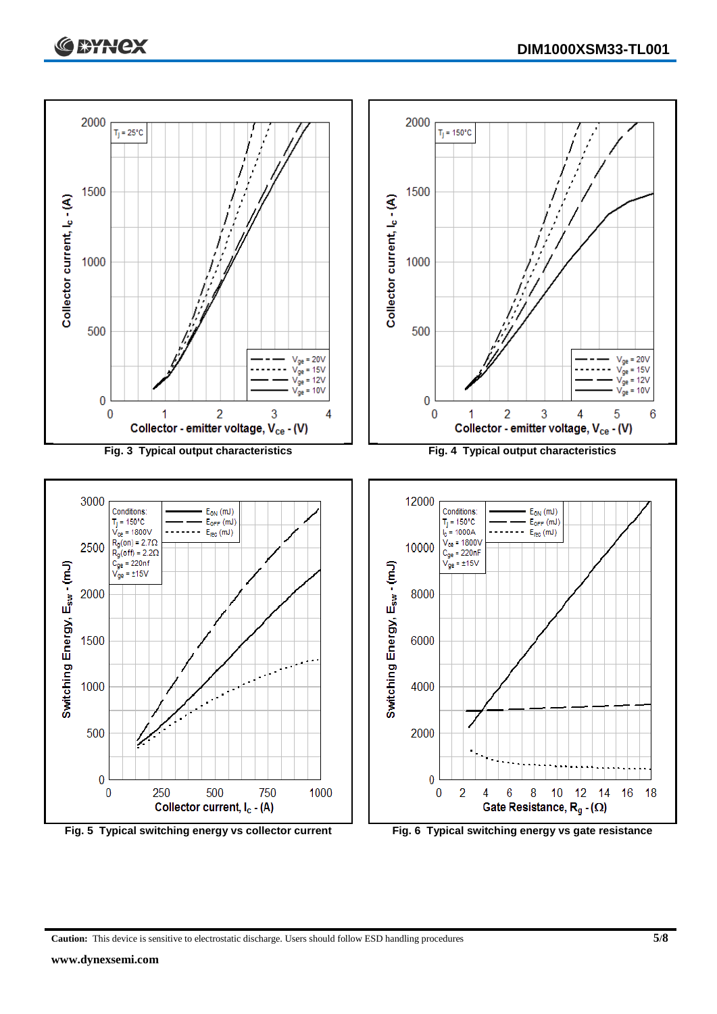



**Caution:** This device is sensitive to electrostatic discharge. Users should follow ESD handling procedures **5/8**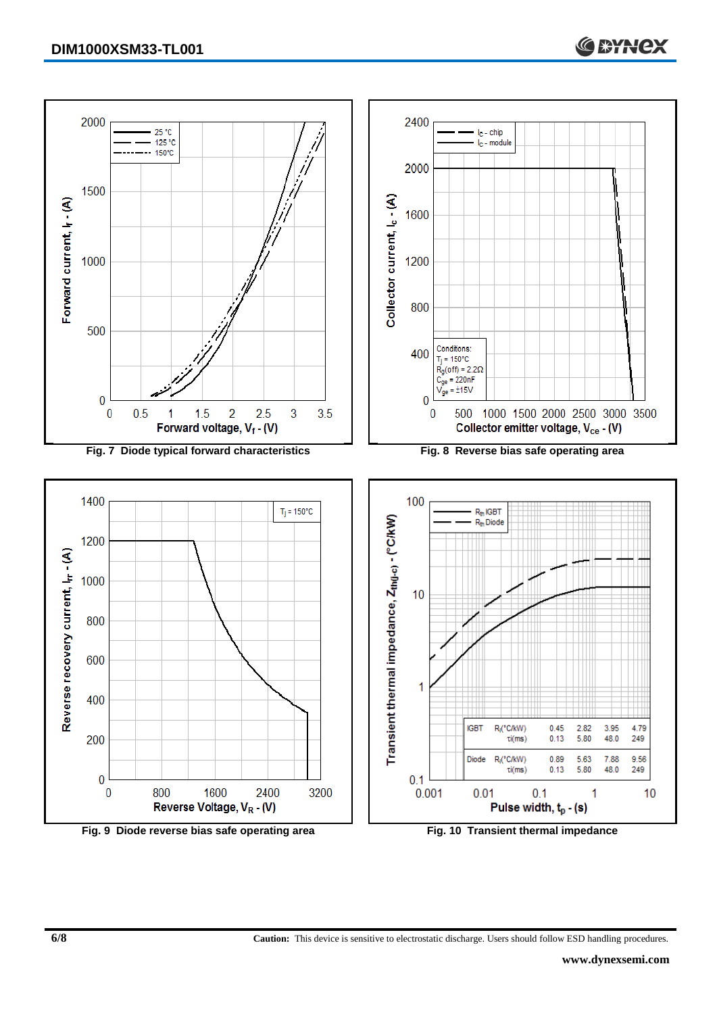

**Fig. 9 Diode reverse bias safe operating area Fig. 10 Transient thermal impedance**

**6/8 Caution:** This device is sensitive to electrostatic discharge. Users should follow ESD handling procedures.

**C SYNCX**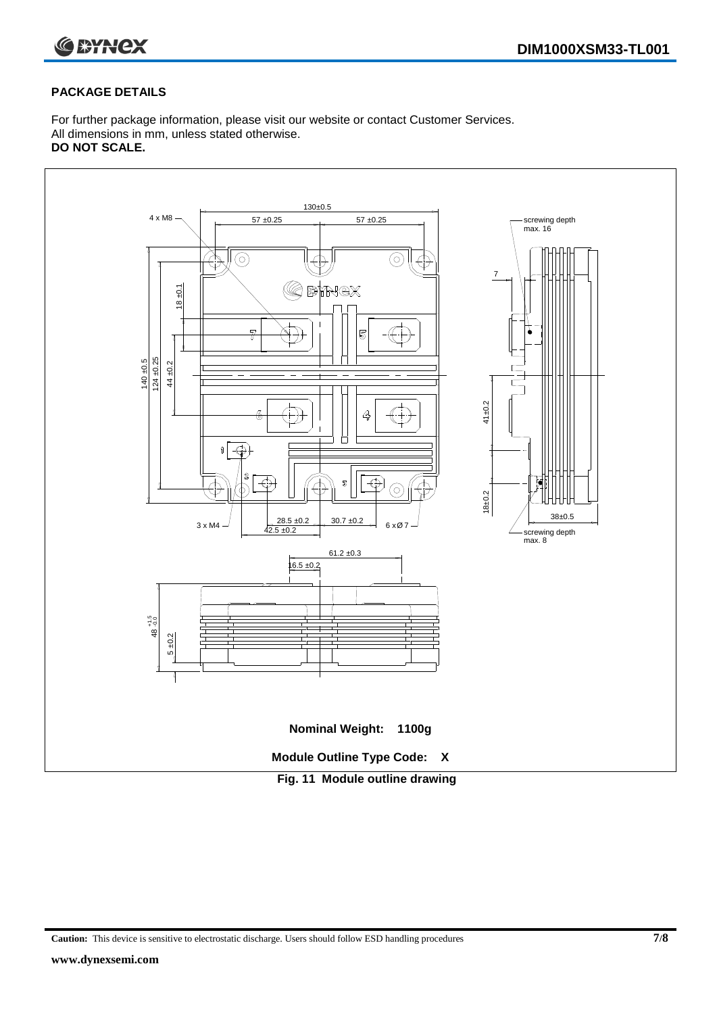

#### **PACKAGE DETAILS**

For further package information, please visit our website or contact Customer Services. All dimensions in mm, unless stated otherwise. **DO NOT SCALE.**



**Caution:** This device is sensitive to electrostatic discharge. Users should follow ESD handling procedures **7/8**